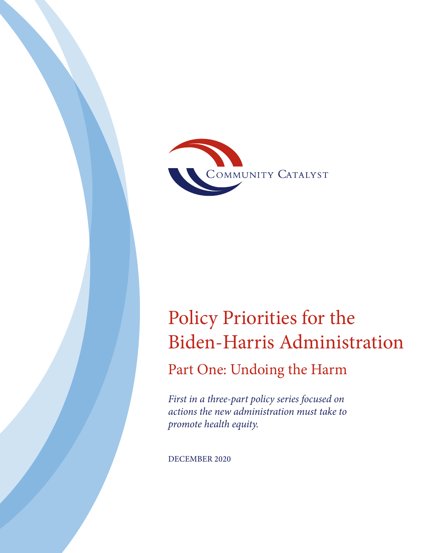

# Policy Priorities for the Biden-Harris Administration

Part One: Undoing the Harm

*First in a three-part policy series focused on actions the new administration must take to promote health equity.*

DECEMBER 2020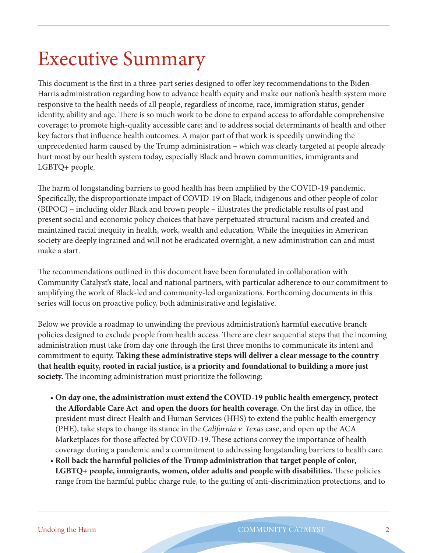# Executive Summary

This document is the first in a three-part series designed to offer key recommendations to the Biden-Harris administration regarding how to advance health equity and make our nation's health system more responsive to the health needs of all people, regardless of income, race, immigration status, gender identity, ability and age. There is so much work to be done to expand access to affordable comprehensive coverage; to promote high-quality accessible care; and to address social determinants of health and other key factors that influence health outcomes. A major part of that work is speedily unwinding the unprecedented harm caused by the Trump administration – which was clearly targeted at people already hurt most by our health system today, especially Black and brown communities, immigrants and LGBTQ+ people.

The harm of longstanding barriers to good health has been amplified by the COVID-19 pandemic. Specifically, the disproportionate impact of COVID-19 on Black, indigenous and other people of color (BIPOC) – including older Black and brown people – illustrates the predictable results of past and present social and economic policy choices that have perpetuated structural racism and created and maintained racial inequity in health, work, wealth and education. While the inequities in American society are deeply ingrained and will not be eradicated overnight, a new administration can and must make a start.

The recommendations outlined in this document have been formulated in collaboration with Community Catalyst's state, local and national partners, with particular adherence to our commitment to amplifying the work of Black-led and community-led organizations. Forthcoming documents in this series will focus on proactive policy, both administrative and legislative.

Below we provide a roadmap to unwinding the previous administration's harmful executive branch policies designed to exclude people from health access. There are clear sequential steps that the incoming administration must take from day one through the first three months to communicate its intent and commitment to equity. **Taking these administrative steps will deliver a clear message to the country that health equity, rooted in racial justice, is a priority and foundational to building a more just society.** The incoming administration must prioritize the following:

- **On day one, the administration must extend the COVID-19 public health emergency, protect the Affordable Care Act and open the doors for health coverage.** On the first day in office, the president must direct Health and Human Services (HHS) to extend the public health emergency (PHE), take steps to change its stance in the *California v. Texas* case, and open up the ACA Marketplaces for those affected by COVID-19. These actions convey the importance of health coverage during a pandemic and a commitment to addressing longstanding barriers to health care.
- **Roll back the harmful policies of the Trump administration that target people of color, LGBTQ+ people, immigrants, women, older adults and people with disabilities.** These policies range from the harmful public charge rule, to the gutting of anti-discrimination protections, and to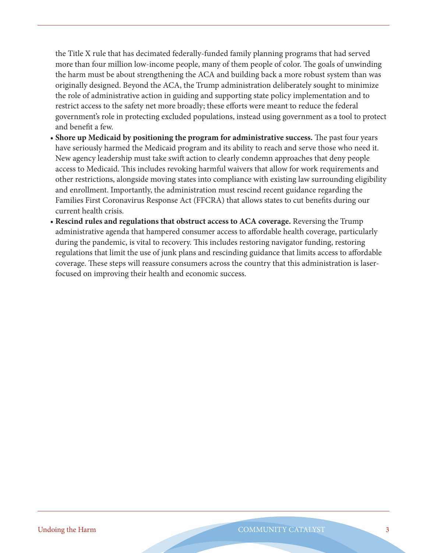the Title X rule that has decimated federally-funded family planning programs that had served more than four million low-income people, many of them people of color. The goals of unwinding the harm must be about strengthening the ACA and building back a more robust system than was originally designed. Beyond the ACA, the Trump administration deliberately sought to minimize the role of administrative action in guiding and supporting state policy implementation and to restrict access to the safety net more broadly; these efforts were meant to reduce the federal government's role in protecting excluded populations, instead using government as a tool to protect and benefit a few.

- **Shore up Medicaid by positioning the program for administrative success.** The past four years have seriously harmed the Medicaid program and its ability to reach and serve those who need it. New agency leadership must take swift action to clearly condemn approaches that deny people access to Medicaid. This includes revoking harmful waivers that allow for work requirements and other restrictions, alongside moving states into compliance with existing law surrounding eligibility and enrollment. Importantly, the administration must rescind recent guidance regarding the Families First Coronavirus Response Act (FFCRA) that allows states to cut benefits during our current health crisis.
- **Rescind rules and regulations that obstruct access to ACA coverage.** Reversing the Trump administrative agenda that hampered consumer access to affordable health coverage, particularly during the pandemic, is vital to recovery. This includes restoring navigator funding, restoring regulations that limit the use of junk plans and rescinding guidance that limits access to affordable coverage. These steps will reassure consumers across the country that this administration is laserfocused on improving their health and economic success.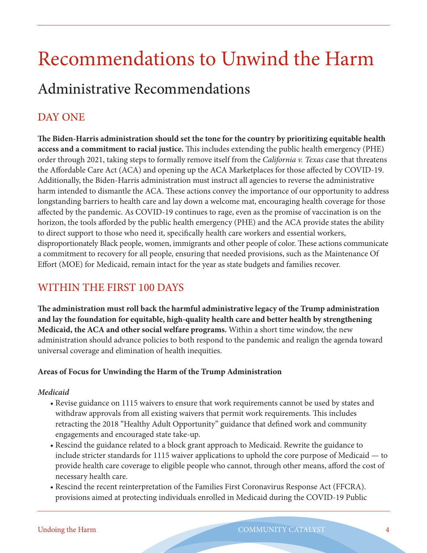# Recommendations to Unwind the Harm Administrative Recommendations

## DAY ONE

**The Biden-Harris administration should set the tone for the country by prioritizing equitable health access and a commitment to racial justice.** This includes extending the public health emergency (PHE) order through 2021, taking steps to formally remove itself from the *California v. Texas* case that threatens the Affordable Care Act (ACA) and opening up the ACA Marketplaces for those affected by COVID-19. Additionally, the Biden-Harris administration must instruct all agencies to reverse the administrative harm intended to dismantle the ACA. These actions convey the importance of our opportunity to address longstanding barriers to health care and lay down a welcome mat, encouraging health coverage for those affected by the pandemic. As COVID-19 continues to rage, even as the promise of vaccination is on the horizon, the tools afforded by the public health emergency (PHE) and the ACA provide states the ability to direct support to those who need it, specifically health care workers and essential workers, disproportionately Black people, women, immigrants and other people of color. These actions communicate a commitment to recovery for all people, ensuring that needed provisions, such as the Maintenance Of Effort (MOE) for Medicaid, remain intact for the year as state budgets and families recover.

### WITHIN THE FIRST 100 DAYS

**The administration must roll back the harmful administrative legacy of the Trump administration and lay the foundation for equitable, high-quality health care and better health by strengthening Medicaid, the ACA and other social welfare programs.** Within a short time window, the new administration should advance policies to both respond to the pandemic and realign the agenda toward universal coverage and elimination of health inequities.

### **Areas of Focus for Unwinding the Harm of the Trump Administration**

### *Medicaid*

- Revise guidance on 1115 waivers to ensure that work requirements cannot be used by states and withdraw approvals from all existing waivers that permit work requirements. This includes retracting the 2018 "Healthy Adult Opportunity" guidance that defined work and community engagements and encouraged state take-up.
- Rescind the guidance related to a block grant approach to Medicaid. Rewrite the guidance to include stricter standards for 1115 waiver applications to uphold the core purpose of Medicaid — to provide health care coverage to eligible people who cannot, through other means, afford the cost of necessary health care.
- Rescind the recent reinterpretation of the Families First Coronavirus Response Act (FFCRA). provisions aimed at protecting individuals enrolled in Medicaid during the COVID-19 Public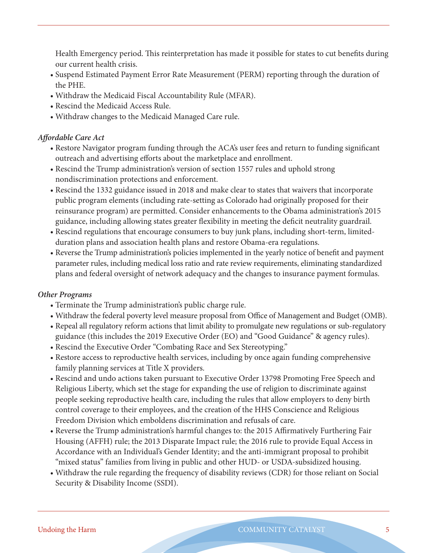Health Emergency period. This reinterpretation has made it possible for states to cut benefits during our current health crisis.

- Suspend Estimated Payment Error Rate Measurement (PERM) reporting through the duration of the PHE.
- Withdraw the Medicaid Fiscal Accountability Rule (MFAR).
- Rescind the Medicaid Access Rule.
- Withdraw changes to the Medicaid Managed Care rule.

### *Affordable Care Act*

- Restore Navigator program funding through the ACA's user fees and return to funding significant outreach and advertising efforts about the marketplace and enrollment.
- Rescind the Trump administration's version of section 1557 rules and uphold strong nondiscrimination protections and enforcement.
- Rescind the 1332 guidance issued in 2018 and make clear to states that waivers that incorporate public program elements (including rate-setting as Colorado had originally proposed for their reinsurance program) are permitted. Consider enhancements to the Obama administration's 2015 guidance, including allowing states greater flexibility in meeting the deficit neutrality guardrail.
- Rescind regulations that encourage consumers to buy junk plans, including short-term, limitedduration plans and association health plans and restore Obama-era regulations.
- Reverse the Trump administration's policies implemented in the yearly notice of benefit and payment parameter rules, including medical loss ratio and rate review requirements, eliminating standardized plans and federal oversight of network adequacy and the changes to insurance payment formulas.

### *Other Programs*

- Terminate the Trump administration's public charge rule.
- Withdraw the federal poverty level measure proposal from Office of Management and Budget (OMB).
- Repeal all regulatory reform actions that limit ability to promulgate new regulations or sub-regulatory guidance (this includes the 2019 Executive Order (EO) and "Good Guidance" & agency rules).
- Rescind the Executive Order "Combating Race and Sex Stereotyping."
- Restore access to reproductive health services, including by once again funding comprehensive family planning services at Title X providers.
- Rescind and undo actions taken pursuant to Executive Order 13798 Promoting Free Speech and Religious Liberty, which set the stage for expanding the use of religion to discriminate against people seeking reproductive health care, including the rules that allow employers to deny birth control coverage to their employees, and the creation of the HHS Conscience and Religious Freedom Division which emboldens discrimination and refusals of care.
- Reverse the Trump administration's harmful changes to: the 2015 Affirmatively Furthering Fair Housing (AFFH) rule; the 2013 Disparate Impact rule; the 2016 rule to provide Equal Access in Accordance with an Individual's Gender Identity; and the anti-immigrant proposal to prohibit "mixed status" families from living in public and other HUD- or USDA-subsidized housing.
- Withdraw the rule regarding the frequency of disability reviews (CDR) for those reliant on Social Security & Disability Income (SSDI).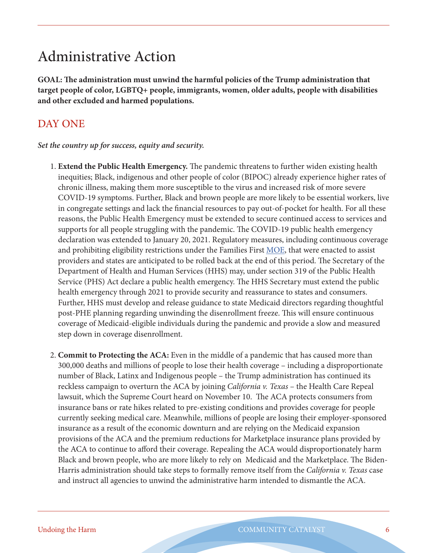# Administrative Action

**GOAL: The administration must unwind the harmful policies of the Trump administration that target people of color, LGBTQ+ people, immigrants, women, older adults, people with disabilities and other excluded and harmed populations.** 

## DAY ONE

### *Set the country up for success, equity and security.*

- 1. **Extend the Public Health Emergency.** The pandemic threatens to further widen existing health inequities; Black, indigenous and other people of color (BIPOC) already experience higher rates of chronic illness, making them more susceptible to the virus and increased risk of more severe COVID-19 symptoms. Further, Black and brown people are more likely to be essential workers, live in congregate settings and lack the financial resources to pay out-of-pocket for health. For all these reasons, the Public Health Emergency must be extended to secure continued access to services and supports for all people struggling with the pandemic. The COVID-19 public health emergency declaration was extended to January 20, 2021. Regulatory measures, including continuous coverage and prohibiting eligibility restrictions under the Families First [MOE](https://www.cbpp.org/research/health/medicaid-protections-in-families-first-act-critical-to-protecting-health-coverage), that were enacted to assist providers and states are anticipated to be rolled back at the end of this period. The Secretary of the Department of Health and Human Services (HHS) may, under section 319 of the Public Health Service (PHS) Act declare a public health emergency. The HHS Secretary must extend the public health emergency through 2021 to provide security and reassurance to states and consumers. Further, HHS must develop and release guidance to state Medicaid directors regarding thoughtful post-PHE planning regarding unwinding the disenrollment freeze. This will ensure continuous coverage of Medicaid-eligible individuals during the pandemic and provide a slow and measured step down in coverage disenrollment.
- 2. **Commit to Protecting the ACA:** Even in the middle of a pandemic that has caused more than 300,000 deaths and millions of people to lose their health coverage – including a disproportionate number of Black, Latinx and Indigenous people – the Trump administration has continued its reckless campaign to overturn the ACA by joining *California v. Texas* – the Health Care Repeal lawsuit, which the Supreme Court heard on November 10. The ACA protects consumers from insurance bans or rate hikes related to pre-existing conditions and provides coverage for people currently seeking medical care. Meanwhile, millions of people are losing their employer-sponsored insurance as a result of the economic downturn and are relying on the Medicaid expansion provisions of the ACA and the premium reductions for Marketplace insurance plans provided by the ACA to continue to afford their coverage. Repealing the ACA would disproportionately harm Black and brown people, who are more likely to rely on Medicaid and the Marketplace. The Biden-Harris administration should take steps to formally remove itself from the *California v. Texas* case and instruct all agencies to unwind the administrative harm intended to dismantle the ACA.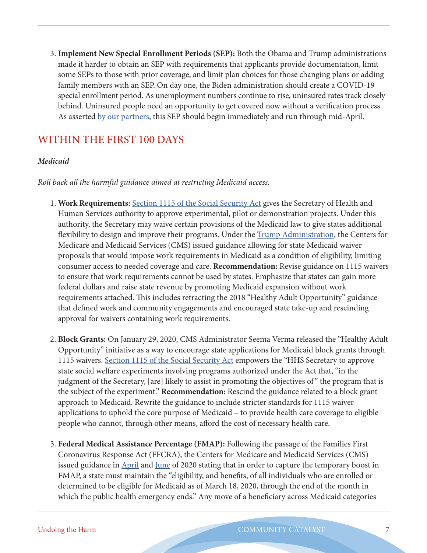3. **Implement New Special Enrollment Periods (SEP):** Both the Obama and Trump administrations made it harder to obtain an SEP with requirements that applicants provide documentation, limit some SEPs to those with prior coverage, and limit plan choices for those changing plans or adding family members with an SEP. On day one, the Biden administration should create a COVID-19 special enrollment period. As unemployment numbers continue to rise, uninsured rates track closely behind. Uninsured people need an opportunity to get covered now without a verification process. As asserted [by our partners,](https://younginvincibles.org/wp-content/uploads/2020/09/100-Day-Plan-FINAL.pdf) this SEP should begin immediately and run through mid-April.

## WITHIN THE FIRST 100 DAYS

### *Medicaid*

### *Roll back all the harmful guidance aimed at restricting Medicaid access.*

- 1. **Work Requirements:** [Section 1115 of the Social Security Act](https://www.medicaid.gov/medicaid/section-1115-demonstrations/about-section-1115-demonstrations/index.html) gives the Secretary of Health and Human Services authority to approve experimental, pilot or demonstration projects. Under this authority, the Secretary may waive certain provisions of the Medicaid law to give states additional flexibility to design and improve their programs. Under the [Trump Administration,](https://www.kff.org/medicaid/issue-brief/understanding-the-intersection-of-medicaid-and-work-what-does-the-data-say/) the Centers for Medicare and Medicaid Services (CMS) issued guidance allowing for state Medicaid waiver proposals that would impose work requirements in Medicaid as a condition of eligibility, limiting consumer access to needed coverage and care. **Recommendation:** Revise guidance on 1115 waivers to ensure that work requirements cannot be used by states. Emphasize that states can gain more federal dollars and raise state revenue by promoting Medicaid expansion without work requirements attached. This includes retracting the 2018 "Healthy Adult Opportunity" guidance that defined work and community engagements and encouraged state take-up and rescinding approval for waivers containing work requirements.
- 2. **Block Grants:** On January 29, 2020, CMS Administrator Seema Verma released the "Healthy Adult Opportunity" initiative as a way to encourage state applications for Medicaid block grants through 1115 waivers. [Section 1115 of the Social Security Act](https://www.healthaffairs.org/do/10.1377/hblog20200207.495036/full/) empowers the "HHS Secretary to approve state social welfare experiments involving programs authorized under the Act that, "in the judgment of the Secretary, [are] likely to assist in promoting the objectives of " the program that is the subject of the experiment." **Recommendation:** Rescind the guidance related to a block grant approach to Medicaid. Rewrite the guidance to include stricter standards for 1115 waiver applications to uphold the core purpose of Medicaid – to provide health care coverage to eligible people who cannot, through other means, afford the cost of necessary health care.
- 3. **Federal Medical Assistance Percentage (FMAP):** Following the passage of the Families First Coronavirus Response Act (FFCRA), the Centers for Medicare and Medicaid Services (CMS) issued guidance in [April](https://www.medicaid.gov/state-resource-center/downloads/covid-19-section-6008-CARES-faqs.pdf) and [June](https://www.medicaid.gov/state-resource-center/downloads/covid-19-faqs.pdf) of 2020 stating that in order to capture the temporary boost in FMAP, a state must maintain the "eligibility, and benefits, of all individuals who are enrolled or determined to be eligible for Medicaid as of March 18, 2020, through the end of the month in which the public health emergency ends." Any move of a beneficiary across Medicaid categories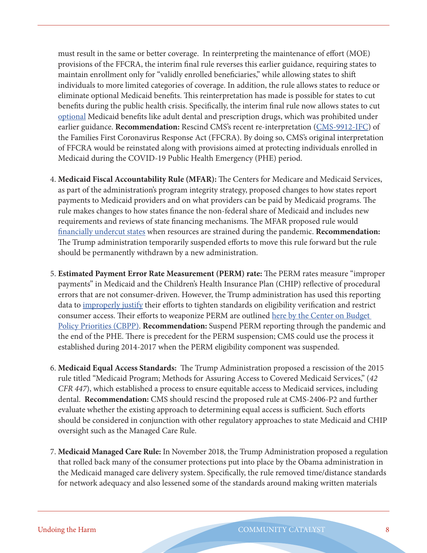must result in the same or better coverage. In reinterpreting the maintenance of effort (MOE) provisions of the FFCRA, the interim final rule reverses this earlier guidance, requiring states to maintain enrollment only for "validly enrolled beneficiaries," while allowing states to shift individuals to more limited categories of coverage. In addition, the rule allows states to reduce or eliminate optional Medicaid benefits. This reinterpretation has made is possible for states to cut benefits during the public health crisis. Specifically, the interim final rule now allows states to cut [optional](https://www.medicaid.gov/medicaid/benefits/mandatory-optional-medicaid-benefits/index.html) Medicaid benefits like adult dental and prescription drugs, which was prohibited under earlier guidance. **Recommendation:** Rescind CMS's recent re-interpretation ([CMS-9912-IFC](https://www.communitycatalyst.org/blog/cms-rule-goes-against-congressional-intent-and-risks-stripping-emergency-medicaid-coverage-guarantees#.X70wddt7mit)) of the Families First Coronavirus Response Act (FFCRA). By doing so, CMS's original interpretation of FFCRA would be reinstated along with provisions aimed at protecting individuals enrolled in Medicaid during the COVID-19 Public Health Emergency (PHE) period.

- 4. **Medicaid Fiscal Accountability Rule (MFAR):** The Centers for Medicare and Medicaid Services, as part of the administration's program integrity strategy, proposed changes to how states report payments to Medicaid providers and on what providers can be paid by Medicaid programs. The rule makes changes to how states finance the non-federal share of Medicaid and includes new requirements and reviews of state financing mechanisms. The MFAR proposed rule would [financially undercut states](https://www.kff.org/medicaid/issue-brief/what-you-need-to-know-about-the-medicaid-fiscal-accountability-rule-mfar/) when resources are strained during the pandemic. **Recommendation:** The Trump administration temporarily suspended efforts to move this rule forward but the rule should be permanently withdrawn by a new administration.
- 5. **Estimated Payment Error Rate Measurement (PERM) rate:** The PERM rates measure "improper payments" in Medicaid and the Children's Health Insurance Plan (CHIP) reflective of procedural errors that are not consumer-driven. However, the Trump administration has used this reporting data to <u>improperly justify</u> their efforts to tighten standards on eligibility verification and restrict consumer access. Their efforts to weaponize PERM are outlined here by the Center on Budget [Policy Priorities \(CBPP\)](https://www.cbpp.org/blog/medicaid-improper-payment-rates-dont-measure-ineligible-enrollees-fraud-or-abuse). **Recommendation:** Suspend PERM reporting through the pandemic and the end of the PHE. There is precedent for the PERM suspension; CMS could use the process it established during 2014-2017 when the PERM eligibility component was suspended.
- 6. **Medicaid Equal Access Standards:** The Trump Administration proposed a rescission of the 2015 rule titled "Medicaid Program; Methods for Assuring Access to Covered Medicaid Services," (*42 CFR 447*), which established a process to ensure equitable access to Medicaid services, including dental. **Recommendation:** CMS should rescind the proposed rule at CMS-2406-P2 and further evaluate whether the existing approach to determining equal access is sufficient. Such efforts should be considered in conjunction with other regulatory approaches to state Medicaid and CHIP oversight such as the Managed Care Rule.
- 7. **Medicaid Managed Care Rule:** In November 2018, the Trump Administration proposed a regulation that rolled back many of the consumer protections put into place by the Obama administration in the Medicaid managed care delivery system. Specifically, the rule removed time/distance standards for network adequacy and also lessened some of the standards around making written materials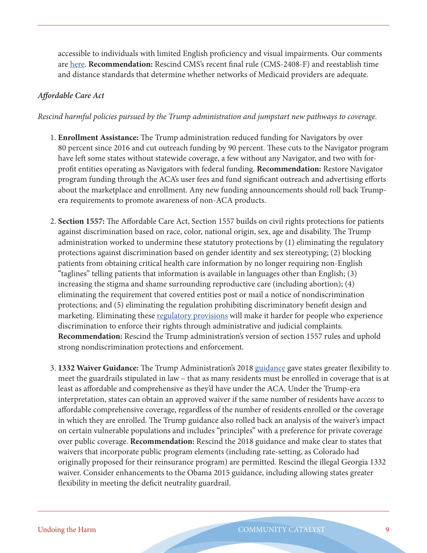accessible to individuals with limited English proficiency and visual impairments. Our comments are [here](https://www.communitycatalyst.org/resources/comment-letters/document/Community-Catalyst_MMC-Comments_2019-2.pdf). **Recommendation:** Rescind CMS's recent final rule (CMS-2408-F) and reestablish time and distance standards that determine whether networks of Medicaid providers are adequate.

### *Affordable Care Act*

*Rescind harmful policies pursued by the Trump administration and jumpstart new pathways to coverage.* 

- 1. **Enrollment Assistance:** The Trump administration reduced funding for Navigators by over 80 percent since 2016 and cut outreach funding by 90 percent. These cuts to the Navigator program have left some states without statewide coverage, a few without any Navigator, and two with forprofit entities operating as Navigators with federal funding. **Recommendation:** Restore Navigator program funding through the ACA's user fees and fund significant outreach and advertising efforts about the marketplace and enrollment. Any new funding announcements should roll back Trumpera requirements to promote awareness of non-ACA products.
- 2. **Section 1557:** The Affordable Care Act, Section 1557 builds on civil rights protections for patients against discrimination based on race, color, national origin, sex, age and disability. The Trump administration worked to undermine these statutory protections by (1) eliminating the regulatory protections against discrimination based on gender identity and sex stereotyping; (2) blocking patients from obtaining critical health care information by no longer requiring non-English "taglines" telling patients that information is available in languages other than English; (3) increasing the stigma and shame surrounding reproductive care (including abortion); (4) eliminating the requirement that covered entities post or mail a notice of nondiscrimination protections; and (5) eliminating the regulation prohibiting discriminatory benefit design and marketing. Eliminating these [regulatory provisions](https://www.govinfo.gov/content/pkg/FR-2020-06-19/pdf/2020-11758.pdf) will make it harder for people who experience discrimination to enforce their rights through administrative and judicial complaints. **Recommendation:** Rescind the Trump administration's version of section 1557 rules and uphold strong nondiscrimination protections and enforcement.
- 3. **1332 Waiver Guidance:** The Trump Administration's 2018 [guidance](https://www.commonwealthfund.org/blog/2018/using-1332-state-waiver-program-undermine-affordable-care-act-state-state) gave states greater flexibility to meet the guardrails stipulated in law – that as many residents must be enrolled in coverage that is at least as affordable and comprehensive as they'd have under the ACA. Under the Trump-era interpretation, states can obtain an approved waiver if the same number of residents have *access* to affordable comprehensive coverage, regardless of the number of residents enrolled or the coverage in which they are enrolled. The Trump guidance also rolled back an analysis of the waiver's impact on certain vulnerable populations and includes "principles" with a preference for private coverage over public coverage. **Recommendation:** Rescind the 2018 guidance and make clear to states that waivers that incorporate public program elements (including rate-setting, as Colorado had originally proposed for their reinsurance program) are permitted. Rescind the illegal Georgia 1332 waiver. Consider enhancements to the Obama 2015 guidance, including allowing states greater flexibility in meeting the deficit neutrality guardrail.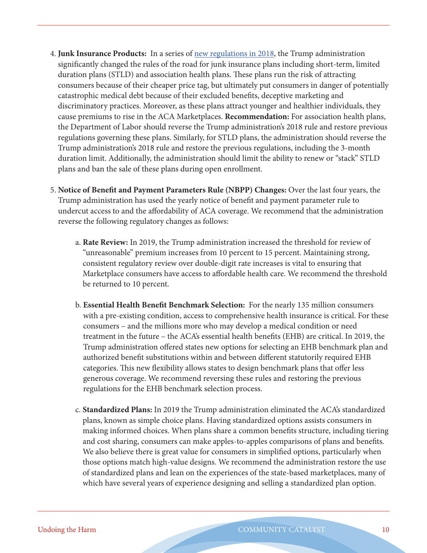- 4. **Junk Insurance Products:** In a series of [new regulations in 2018,](https://s3.amazonaws.com/public-inspection.federalregister.gov/2018-16568.pdf) the Trump administration significantly changed the rules of the road for junk insurance plans including short-term, limited duration plans (STLD) and association health plans. These plans run the risk of attracting consumers because of their cheaper price tag, but ultimately put consumers in danger of potentially catastrophic medical debt because of their excluded benefits, deceptive marketing and discriminatory practices. Moreover, as these plans attract younger and healthier individuals, they cause premiums to rise in the ACA Marketplaces. **Recommendation:** For association health plans, the Department of Labor should reverse the Trump administration's 2018 rule and restore previous regulations governing these plans. Similarly, for STLD plans, the administration should reverse the Trump administration's 2018 rule and restore the previous regulations, including the 3-month duration limit. Additionally, the administration should limit the ability to renew or "stack" STLD plans and ban the sale of these plans during open enrollment.
- 5. **Notice of Benefit and Payment Parameters Rule (NBPP) Changes:** Over the last four years, the Trump administration has used the yearly notice of benefit and payment parameter rule to undercut access to and the affordability of ACA coverage. We recommend that the administration reverse the following regulatory changes as follows:
	- a. **Rate Review:** In 2019, the Trump administration increased the threshold for review of "unreasonable" premium increases from 10 percent to 15 percent. Maintaining strong, consistent regulatory review over double-digit rate increases is vital to ensuring that Marketplace consumers have access to affordable health care. We recommend the threshold be returned to 10 percent.
	- b. **Essential Health Benefit Benchmark Selection:** For the nearly 135 million consumers with a pre-existing condition, access to comprehensive health insurance is critical. For these consumers – and the millions more who may develop a medical condition or need treatment in the future – the ACA's essential health benefits (EHB) are critical. In 2019, the Trump administration offered states new options for selecting an EHB benchmark plan and authorized benefit substitutions within and between different statutorily required EHB categories. This new flexibility allows states to design benchmark plans that offer less generous coverage. We recommend reversing these rules and restoring the previous regulations for the EHB benchmark selection process.
	- c. **Standardized Plans:** In 2019 the Trump administration eliminated the ACA's standardized plans, known as simple choice plans. Having standardized options assists consumers in making informed choices. When plans share a common benefits structure, including tiering and cost sharing, consumers can make apples-to-apples comparisons of plans and benefits. We also believe there is great value for consumers in simplified options, particularly when those options match high-value designs. We recommend the administration restore the use of standardized plans and lean on the experiences of the state-based marketplaces, many of which have several years of experience designing and selling a standardized plan option.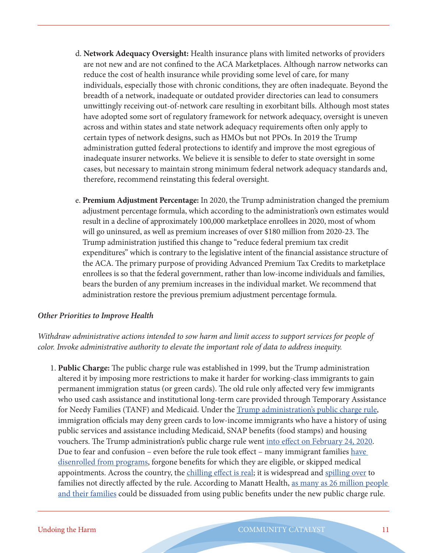- d. **Network Adequacy Oversight:** Health insurance plans with limited networks of providers are not new and are not confined to the ACA Marketplaces. Although narrow networks can reduce the cost of health insurance while providing some level of care, for many individuals, especially those with chronic conditions, they are often inadequate. Beyond the breadth of a network, inadequate or outdated provider directories can lead to consumers unwittingly receiving out-of-network care resulting in exorbitant bills. Although most states have adopted some sort of regulatory framework for network adequacy, oversight is uneven across and within states and state network adequacy requirements often only apply to certain types of network designs, such as HMOs but not PPOs. In 2019 the Trump administration gutted federal protections to identify and improve the most egregious of inadequate insurer networks. We believe it is sensible to defer to state oversight in some cases, but necessary to maintain strong minimum federal network adequacy standards and, therefore, recommend reinstating this federal oversight.
- e. **Premium Adjustment Percentage:** In 2020, the Trump administration changed the premium adjustment percentage formula, which according to the administration's own estimates would result in a decline of approximately 100,000 marketplace enrollees in 2020, most of whom will go uninsured, as well as premium increases of over \$180 million from 2020-23. The Trump administration justified this change to "reduce federal premium tax credit expenditures" which is contrary to the legislative intent of the financial assistance structure of the ACA. The primary purpose of providing Advanced Premium Tax Credits to marketplace enrollees is so that the federal government, rather than low-income individuals and families, bears the burden of any premium increases in the individual market. We recommend that administration restore the previous premium adjustment percentage formula.

#### *Other Priorities to Improve Health*

*Withdraw administrative actions intended to sow harm and limit access to support services for people of color. Invoke administrative authority to elevate the important role of data to address inequity.*

1. **Public Charge:** The public charge rule was established in 1999, but the Trump administration altered it by imposing more restrictions to make it harder for working-class immigrants to gain permanent immigration status (or green cards). The old rule only affected very few immigrants who used cash assistance and institutional long-term care provided through Temporary Assistance for Needy Families (TANF) and Medicaid. Under the [Trump administration's public charge rule,](https://www.federalregister.gov/documents/2019/08/14/2019-17142/inadmissibility-on-public-charge-grounds) immigration officials may deny green cards to low-income immigrants who have a history of using public services and assistance including Medicaid, SNAP benefits (food stamps) and housing vouchers. The Trump administration's public charge rule went [into effect on February 24, 2020](https://www.uscis.gov/news/news-releases/uscis-announces-public-charge-rule-implementation-following-supreme-court-stay-of-nationwide). Due to fear and confusion – even before the rule took effect – many immigrant families have [disenrolled from programs](https://protectingimmigrantfamilies.org/wp-content/uploads/2019/07/PIF-Documenting-Harm-Fact-Sheet-UPDATED-JULY.pdf), forgone benefits for which they are eligible, or skipped medical appointments. Across the country, the [chilling effect is real](https://www.urban.org/sites/default/files/publication/100270/one_in_seven_adults_in_immigrant_families_reported_avoiding_publi_8.pdf); it is widespread and [spilling over](https://www.npr.org/2020/02/19/806155521/food-fight-how-2-trump-proposals-could-bite-into-school-lunch) to families not directly affected by the rule. According to Manatt Health, as many as 26 million people [and their families](https://www.manatt.com/insights/articles/2018/public-charge-rule-potentially-chilled-population) could be dissuaded from using public benefits under the new public charge rule.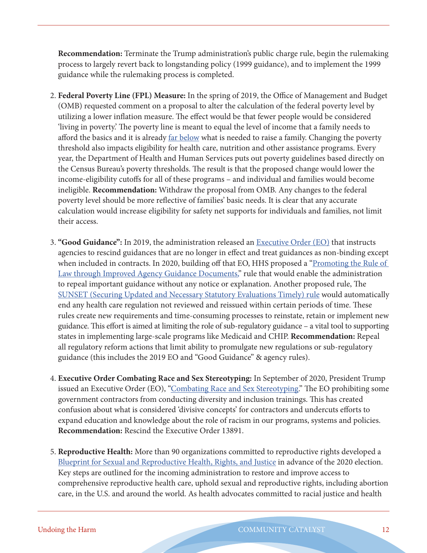**Recommendation:** Terminate the Trump administration's public charge rule, begin the rulemaking process to largely revert back to longstanding policy (1999 guidance), and to implement the 1999 guidance while the rulemaking process is completed.

- 2. **Federal Poverty Line (FPL) Measure:** In the spring of 2019, the Office of Management and Budget (OMB) requested comment on a proposal to alter the calculation of the federal poverty level by utilizing a lower inflation measure. The effect would be that fewer people would be considered 'living in poverty.' The poverty line is meant to equal the level of income that a family needs to afford the basics and it is already <u>far below</u> what is needed to raise a family. Changing the poverty threshold also impacts eligibility for health care, nutrition and other assistance programs. Every year, the Department of Health and Human Services puts out poverty guidelines based directly on the Census Bureau's poverty thresholds. The result is that the proposed change would lower the income-eligibility cutoffs for all of these programs – and individual and families would become ineligible. **Recommendation:** Withdraw the proposal from OMB. Any changes to the federal poverty level should be more reflective of families' basic needs. It is clear that any accurate calculation would increase eligibility for safety net supports for individuals and families, not limit their access.
- 3. **"Good Guidance":** In 2019, the administration released an [Executive Order \(EO\)](https://www.whitehouse.gov/presidential-actions/executive-order-promoting-rule-law-improved-agency-guidance-documents/) that instructs agencies to rescind guidances that are no longer in effect and treat guidances as non-binding except when included in contracts. In 2020, building off that EO, HHS proposed a "<u>Promoting the Rule of</u> [Law through Improved Agency Guidance Documents,"](https://www.federalregister.gov/documents/2020/09/28/2020-18604/promoting-the-rule-of-law-through-improved-agency-guidance-documents) rule that would enable the administration to repeal important guidance without any notice or explanation. Another proposed rule, The [SUNSET \(Securing Updated and Necessary Statutory Evaluations Timely\) rule](https://www.govinfo.gov/content/pkg/FR-2020-11-04/pdf/2020-23888.pdf) would automatically end any health care regulation not reviewed and reissued within certain periods of time. These rules create new requirements and time-consuming processes to reinstate, retain or implement new guidance. This effort is aimed at limiting the role of sub-regulatory guidance – a vital tool to supporting states in implementing large-scale programs like Medicaid and CHIP. **Recommendation:** Repeal all regulatory reform actions that limit ability to promulgate new regulations or sub-regulatory guidance (this includes the 2019 EO and "Good Guidance" & agency rules).
- 4. **Executive Order Combating Race and Sex Stereotyping:** In September of 2020, President Trump issued an Executive Order (EO), ["Combating Race and Sex Stereotyping](https://www.whitehouse.gov/presidential-actions/executive-order-combating-race-sex-stereotyping/)." The EO prohibiting some government contractors from conducting diversity and inclusion trainings. This has created confusion about what is considered 'divisive concepts' for contractors and undercuts efforts to expand education and knowledge about the role of racism in our programs, systems and policies. **Recommendation:** Rescind the Executive Order 13891.
- 5. **Reproductive Health:** More than 90 organizations committed to reproductive rights developed a [Blueprint for Sexual and Reproductive Health, Rights, and Justice](http://reproblueprint.org/wp-content/uploads/2020/09/First-Priorities-Executive-Agency-Actions-Incoming-Administration-Blueprint.pdf) in advance of the 2020 election. Key steps are outlined for the incoming administration to restore and improve access to comprehensive reproductive health care, uphold sexual and reproductive rights, including abortion care, in the U.S. and around the world. As health advocates committed to racial justice and health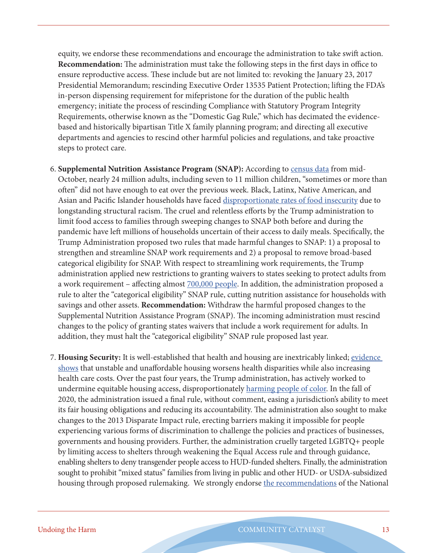equity, we endorse these recommendations and encourage the administration to take swift action. **Recommendation:** The administration must take the following steps in the first days in office to ensure reproductive access. These include but are not limited to: revoking the January 23, 2017 Presidential Memorandum; rescinding Executive Order 13535 Patient Protection; lifting the FDA's in-person dispensing requirement for mifepristone for the duration of the public health emergency; initiate the process of rescinding Compliance with Statutory Program Integrity Requirements, otherwise known as the "Domestic Gag Rule," which has decimated the evidencebased and historically bipartisan Title X family planning program; and directing all executive departments and agencies to rescind other harmful policies and regulations, and take proactive steps to protect care.

- 6. **Supplemental Nutrition Assistance Program (SNAP):** According to [census data](https://www.cbpp.org/research/poverty-and-inequality/tracking-the-covid-19-recessions-effects-on-food-housing-and) from mid-October, nearly 24 million adults, including seven to 11 million children, "sometimes or more than often" did not have enough to eat over the previous week. Black, Latinx, Native American, and Asian and Pacific Islander households have faced [disproportionate rates of food insecurity](https://frac.org/wp-content/uploads/FRAC-Transition-Priorities-2020.pdf) due to longstanding structural racism. The cruel and relentless efforts by the Trump administration to limit food access to families through sweeping changes to SNAP both before and during the pandemic have left millions of households uncertain of their access to daily meals. Specifically, the Trump Administration proposed two rules that made harmful changes to SNAP: 1) a proposal to strengthen and streamline SNAP work requirements and 2) a proposal to remove broad-based categorical eligibility for SNAP. With respect to streamlining work requirements, the Trump administration applied new restrictions to granting waivers to states seeking to protect adults from a work requirement – affecting almost **700,000** people. In addition, the administration proposed a rule to alter the "categorical eligibility" SNAP rule, cutting nutrition assistance for households with savings and other assets. **Recommendation:** Withdraw the harmful proposed changes to the Supplemental Nutrition Assistance Program (SNAP). The incoming administration must rescind changes to the policy of granting states waivers that include a work requirement for adults. In addition, they must halt the "categorical eligibility" SNAP rule proposed last year.
- 7. **Housing Security:** It is well-established that health and housing are inextricably linked; [evidence](https://www.opportunityhome.org/resources/good-housing-good-health/)  [shows](https://www.opportunityhome.org/resources/good-housing-good-health/) that unstable and unaffordable housing worsens health disparities while also increasing health care costs. Over the past four years, the Trump administration, has actively worked to undermine equitable housing access, disproportionately [harming people of color.](https://www.opportunityhome.org/related-sectors/civil-rights-housing/) In the fall of 2020, the administration issued a final rule, without comment, easing a jurisdiction's ability to meet its fair housing obligations and reducing its accountability. The administration also sought to make changes to the 2013 Disparate Impact rule, erecting barriers making it impossible for people experiencing various forms of discrimination to challenge the policies and practices of businesses, governments and housing providers. Further, the administration cruelly targeted LGBTQ+ people by limiting access to shelters through weakening the Equal Access rule and through guidance, enabling shelters to deny transgender people access to HUD-funded shelters. Finally, the administration sought to prohibit "mixed status" families from living in public and other HUD- or USDA-subsidized housing through proposed rulemaking. We strongly endorse [the recommendations](https://nlihc.org/sites/default/files/NLIHC_Biden-Transition-Memo.pdf) of the National